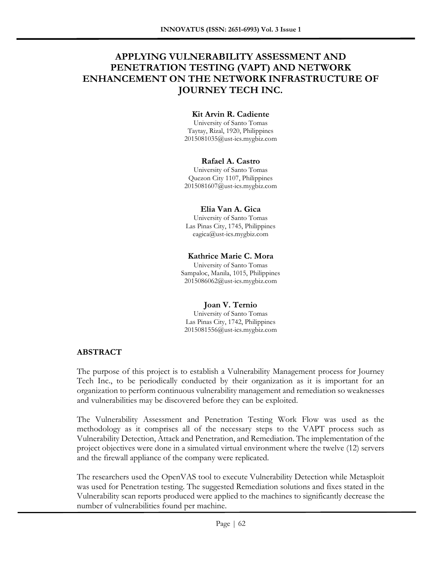# **APPLYING VULNERABILITY ASSESSMENT AND PENETRATION TESTING (VAPT) AND NETWORK ENHANCEMENT ON THE NETWORK INFRASTRUCTURE OF JOURNEY TECH INC.**

### **Kit Arvin R. Cadiente**

University of Santo Tomas Taytay, Rizal, 1920, Philippines 2015081035@ust-ics.mygbiz.com

#### **Rafael A. Castro**

University of Santo Tomas Quezon City 1107, Philippines 2015081607@ust-ics.mygbiz.com

#### **Elia Van A. Gica**

University of Santo Tomas Las Pinas City, 1745, Philippines eagica@ust-ics.mygbiz.com

#### **Kathrice Marie C. Mora**

University of Santo Tomas Sampaloc, Manila, 1015, Philippines 2015086062@ust-ics.mygbiz.com

#### **Joan V. Ternio**

University of Santo Tomas Las Pinas City, 1742, Philippines 2015081556@ust-ics.mygbiz.com

### **ABSTRACT**

The purpose of this project is to establish a Vulnerability Management process for Journey Tech Inc., to be periodically conducted by their organization as it is important for an organization to perform continuous vulnerability management and remediation so weaknesses and vulnerabilities may be discovered before they can be exploited.

The Vulnerability Assessment and Penetration Testing Work Flow was used as the methodology as it comprises all of the necessary steps to the VAPT process such as Vulnerability Detection, Attack and Penetration, and Remediation. The implementation of the project objectives were done in a simulated virtual environment where the twelve (12) servers and the firewall appliance of the company were replicated.

The researchers used the OpenVAS tool to execute Vulnerability Detection while Metasploit was used for Penetration testing. The suggested Remediation solutions and fixes stated in the Vulnerability scan reports produced were applied to the machines to significantly decrease the number of vulnerabilities found per machine.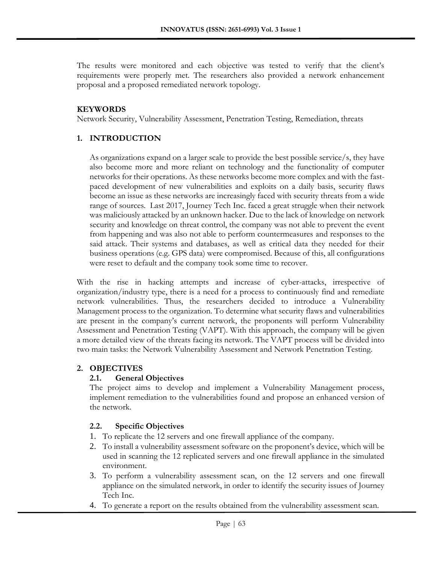The results were monitored and each objective was tested to verify that the client's requirements were properly met. The researchers also provided a network enhancement proposal and a proposed remediated network topology.

## **KEYWORDS**

Network Security, Vulnerability Assessment, Penetration Testing, Remediation, threats

# **1. INTRODUCTION**

As organizations expand on a larger scale to provide the best possible service/s, they have also become more and more reliant on technology and the functionality of computer networks for their operations. As these networks become more complex and with the fastpaced development of new vulnerabilities and exploits on a daily basis, security flaws become an issue as these networks are increasingly faced with security threats from a wide range of sources. Last 2017, Journey Tech Inc. faced a great struggle when their network was maliciously attacked by an unknown hacker. Due to the lack of knowledge on network security and knowledge on threat control, the company was not able to prevent the event from happening and was also not able to perform countermeasures and responses to the said attack. Their systems and databases, as well as critical data they needed for their business operations (e.g. GPS data) were compromised. Because of this, all configurations were reset to default and the company took some time to recover.

With the rise in hacking attempts and increase of cyber-attacks, irrespective of organization/industry type, there is a need for a process to continuously find and remediate network vulnerabilities. Thus, the researchers decided to introduce a Vulnerability Management process to the organization. To determine what security flaws and vulnerabilities are present in the company's current network, the proponents will perform Vulnerability Assessment and Penetration Testing (VAPT). With this approach, the company will be given a more detailed view of the threats facing its network. The VAPT process will be divided into two main tasks: the Network Vulnerability Assessment and Network Penetration Testing.

# **2. OBJECTIVES**

# **2.1. General Objectives**

The project aims to develop and implement a Vulnerability Management process, implement remediation to the vulnerabilities found and propose an enhanced version of the network.

# **2.2. Specific Objectives**

- 1. To replicate the 12 servers and one firewall appliance of the company.
- 2. To install a vulnerability assessment software on the proponent's device, which will be used in scanning the 12 replicated servers and one firewall appliance in the simulated environment.
- 3. To perform a vulnerability assessment scan, on the 12 servers and one firewall appliance on the simulated network, in order to identify the security issues of Journey Tech Inc.
- 4. To generate a report on the results obtained from the vulnerability assessment scan.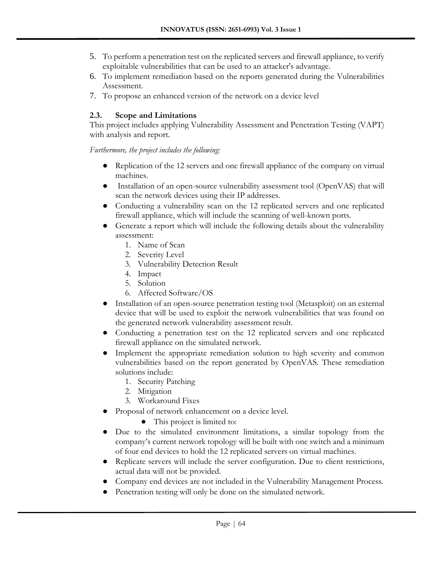- 5. To perform a penetration test on the replicated servers and firewall appliance, to verify exploitable vulnerabilities that can be used to an attacker's advantage.
- 6. To implement remediation based on the reports generated during the Vulnerabilities Assessment.
- 7. To propose an enhanced version of the network on a device level

# **2.3. Scope and Limitations**

This project includes applying Vulnerability Assessment and Penetration Testing (VAPT) with analysis and report.

*Furthermore, the project includes the following:*

- Replication of the 12 servers and one firewall appliance of the company on virtual machines.
- Installation of an open-source vulnerability assessment tool (OpenVAS) that will scan the network devices using their IP addresses.
- Conducting a vulnerability scan on the 12 replicated servers and one replicated firewall appliance, which will include the scanning of well-known ports.
- Generate a report which will include the following details about the vulnerability assessment:
	- 1. Name of Scan
	- 2. Severity Level
	- 3. Vulnerability Detection Result
	- 4. Impact
	- 5. Solution
	- 6. Affected Software/OS
- Installation of an open-source penetration testing tool (Metasploit) on an external device that will be used to exploit the network vulnerabilities that was found on the generated network vulnerability assessment result.
- Conducting a penetration test on the 12 replicated servers and one replicated firewall appliance on the simulated network.
- Implement the appropriate remediation solution to high severity and common vulnerabilities based on the report generated by OpenVAS. These remediation solutions include:
	- 1. Security Patching
	- 2. Mitigation
	- 3. Workaround Fixes
- Proposal of network enhancement on a device level.
	- This project is limited to:
- Due to the simulated environment limitations, a similar topology from the company's current network topology will be built with one switch and a minimum of four end devices to hold the 12 replicated servers on virtual machines.
- Replicate servers will include the server configuration. Due to client restrictions, actual data will not be provided.
- Company end devices are not included in the Vulnerability Management Process.
- Penetration testing will only be done on the simulated network.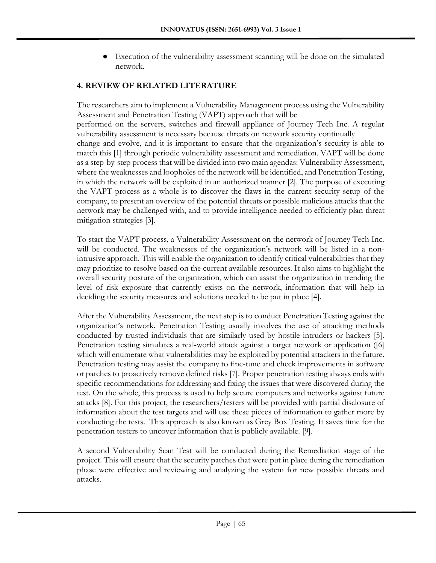Execution of the vulnerability assessment scanning will be done on the simulated network.

# **4. REVIEW OF RELATED LITERATURE**

The researchers aim to implement a Vulnerability Management process using the Vulnerability Assessment and Penetration Testing (VAPT) approach that will be

performed on the servers, switches and firewall appliance of Journey Tech Inc. A regular vulnerability assessment is necessary because threats on network security continually

change and evolve, and it is important to ensure that the organization's security is able to match this [1] through periodic vulnerability assessment and remediation. VAPT will be done as a step-by-step process that will be divided into two main agendas: Vulnerability Assessment, where the weaknesses and loopholes of the network will be identified, and Penetration Testing, in which the network will be exploited in an authorized manner [2]. The purpose of executing the VAPT process as a whole is to discover the flaws in the current security setup of the company, to present an overview of the potential threats or possible malicious attacks that the network may be challenged with, and to provide intelligence needed to efficiently plan threat mitigation strategies [3].

To start the VAPT process, a Vulnerability Assessment on the network of Journey Tech Inc. will be conducted. The weaknesses of the organization's network will be listed in a nonintrusive approach. This will enable the organization to identify critical vulnerabilities that they may prioritize to resolve based on the current available resources. It also aims to highlight the overall security posture of the organization, which can assist the organization in trending the level of risk exposure that currently exists on the network, information that will help in deciding the security measures and solutions needed to be put in place [4].

After the Vulnerability Assessment, the next step is to conduct Penetration Testing against the organization's network. Penetration Testing usually involves the use of attacking methods conducted by trusted individuals that are similarly used by hostile intruders or hackers [5]. Penetration testing simulates a real-world attack against a target network or application ([6] which will enumerate what vulnerabilities may be exploited by potential attackers in the future. Penetration testing may assist the company to fine-tune and check improvements in software or patches to proactively remove defined risks [7]. Proper penetration testing always ends with specific recommendations for addressing and fixing the issues that were discovered during the test. On the whole, this process is used to help secure computers and networks against future attacks [8]. For this project, the researchers/testers will be provided with partial disclosure of information about the test targets and will use these pieces of information to gather more by conducting the tests. This approach is also known as Grey Box Testing. It saves time for the penetration testers to uncover information that is publicly available. [9].

A second Vulnerability Scan Test will be conducted during the Remediation stage of the project. This will ensure that the security patches that were put in place during the remediation phase were effective and reviewing and analyzing the system for new possible threats and attacks.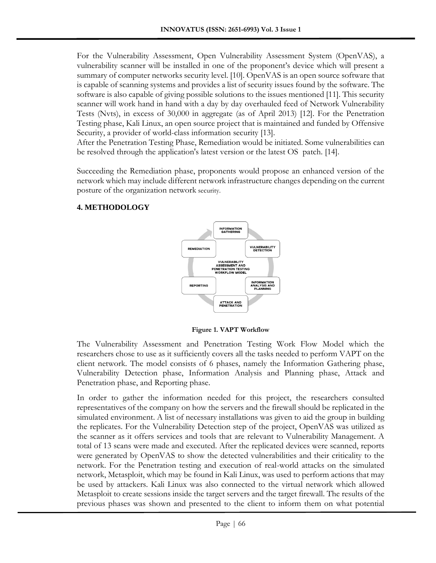For the Vulnerability Assessment, Open Vulnerability Assessment System (OpenVAS), a vulnerability scanner will be installed in one of the proponent's device which will present a summary of computer networks security level. [10]. OpenVAS is an open source software that is capable of scanning systems and provides a list of security issues found by the software. The software is also capable of giving possible solutions to the issues mentioned [11]. This security scanner will work hand in hand with a day by day overhauled feed of Network Vulnerability Tests (Nvts), in excess of 30,000 in aggregate (as of April 2013) [12]. For the Penetration Testing phase, Kali Linux, an open source project that is maintained and funded by Offensive Security, a provider of world-class information security [13].

After the Penetration Testing Phase, Remediation would be initiated. Some vulnerabilities can be resolved through the application's latest version or the latest OS patch. [14].

Succeeding the Remediation phase, proponents would propose an enhanced version of the network which may include different network infrastructure changes depending on the current posture of the organization network security.

### **4. METHODOLOGY**



**Figure 1. VAPT Workflow**

The Vulnerability Assessment and Penetration Testing Work Flow Model which the researchers chose to use as it sufficiently covers all the tasks needed to perform VAPT on the client network. The model consists of 6 phases, namely the Information Gathering phase, Vulnerability Detection phase, Information Analysis and Planning phase, Attack and Penetration phase, and Reporting phase.

In order to gather the information needed for this project, the researchers consulted representatives of the company on how the servers and the firewall should be replicated in the simulated environment. A list of necessary installations was given to aid the group in building the replicates. For the Vulnerability Detection step of the project, OpenVAS was utilized as the scanner as it offers services and tools that are relevant to Vulnerability Management. A total of 13 scans were made and executed. After the replicated devices were scanned, reports were generated by OpenVAS to show the detected vulnerabilities and their criticality to the network. For the Penetration testing and execution of real-world attacks on the simulated network, Metasploit, which may be found in Kali Linux, was used to perform actions that may be used by attackers. Kali Linux was also connected to the virtual network which allowed Metasploit to create sessions inside the target servers and the target firewall. The results of the previous phases was shown and presented to the client to inform them on what potential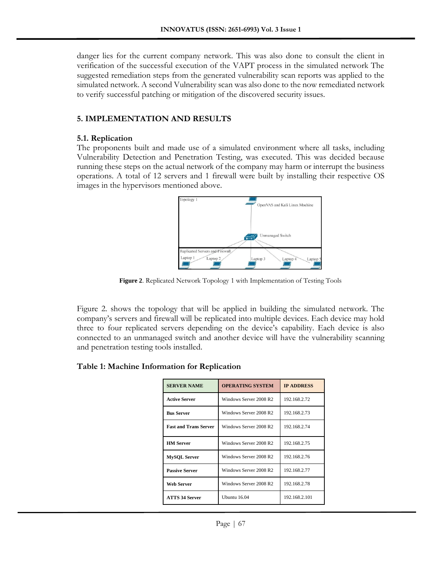danger lies for the current company network. This was also done to consult the client in verification of the successful execution of the VAPT process in the simulated network The suggested remediation steps from the generated vulnerability scan reports was applied to the simulated network. A second Vulnerability scan was also done to the now remediated network to verify successful patching or mitigation of the discovered security issues.

# **5. IMPLEMENTATION AND RESULTS**

### **5.1. Replication**

The proponents built and made use of a simulated environment where all tasks, including Vulnerability Detection and Penetration Testing, was executed. This was decided because running these steps on the actual network of the company may harm or interrupt the business operations. A total of 12 servers and 1 firewall were built by installing their respective OS images in the hypervisors mentioned above.



**Figure 2**. Replicated Network Topology 1 with Implementation of Testing Tools

Figure 2. shows the topology that will be applied in building the simulated network. The company's servers and firewall will be replicated into multiple devices. Each device may hold three to four replicated servers depending on the device's capability. Each device is also connected to an unmanaged switch and another device will have the vulnerability scanning and penetration testing tools installed.

### **Table 1: Machine Information for Replication**

| <b>SERVER NAME</b>           | <b>OPERATING SYSTEM</b> | <b>IP ADDRESS</b> |  |
|------------------------------|-------------------------|-------------------|--|
| <b>Active Server</b>         | Windows Server 2008 R2  | 192.168.2.72      |  |
| <b>Bus Server</b>            | Windows Server 2008 R2  | 192.168.2.73      |  |
| <b>Fast and Trans Server</b> | Windows Server 2008 R2  | 192.168.2.74      |  |
| <b>HM</b> Server             | Windows Server 2008 R2  | 192.168.2.75      |  |
| <b>MySQL Server</b>          | Windows Server 2008 R2  | 192.168.2.76      |  |
| <b>Passive Server</b>        | Windows Server 2008 R2  | 192.168.2.77      |  |
| Web Server                   | Windows Server 2008 R2  | 192.168.2.78      |  |
| <b>ATTS 34 Server</b>        | Ubuntu $16.04$          | 192.168.2.101     |  |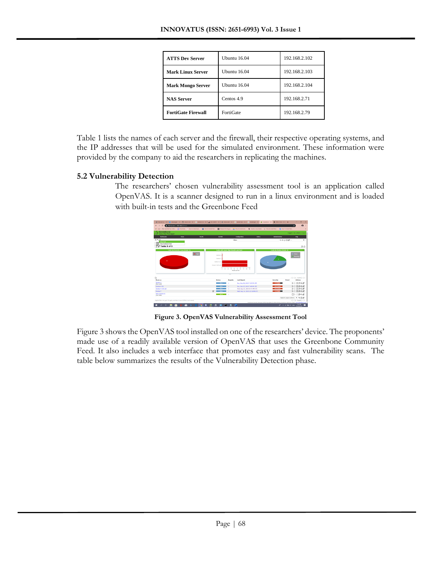| <b>ATTS Dev Server</b>    | Ubuntu $16.04$   | 192.168.2.102 |  |
|---------------------------|------------------|---------------|--|
| <b>Mark Linux Server</b>  | Ubuntu $16.04$   | 192.168.2.103 |  |
| <b>Mark Mongo Server</b>  | Ubuntu $16.04$   | 192.168.2.104 |  |
| <b>NAS Server</b>         | Centos 4.9       | 192.168.2.71  |  |
| <b>FortiGate Firewall</b> | <b>FortiGate</b> | 192.168.2.79  |  |

Table 1 lists the names of each server and the firewall, their respective operating systems, and the IP addresses that will be used for the simulated environment. These information were provided by the company to aid the researchers in replicating the machines.

### **5.2 Vulnerability Detection**

The researchers' chosen vulnerability assessment tool is an application called OpenVAS. It is a scanner designed to run in a linux environment and is loaded with built-in tests and the Greenbone Feed



**Figure 3. OpenVAS Vulnerability Assessment Tool**

Figure 3 shows the OpenVAS tool installed on one of the researchers' device. The proponents' made use of a readily available version of OpenVAS that uses the Greenbone Community Feed. It also includes a web interface that promotes easy and fast vulnerability scans. The table below summarizes the results of the Vulnerability Detection phase.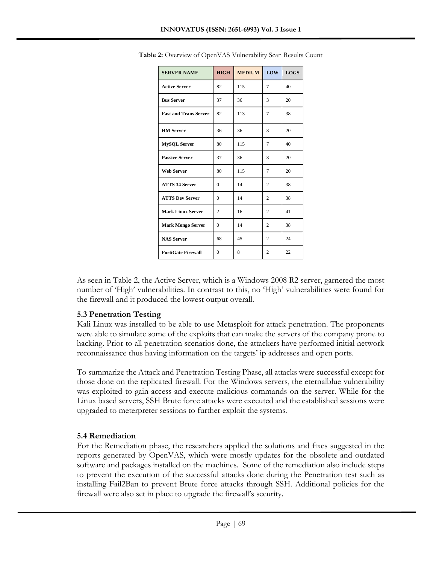| <b>SERVER NAME</b>           | <b>HIGH</b>    | <b>MEDIUM</b> | LOW            | <b>LOGS</b> |
|------------------------------|----------------|---------------|----------------|-------------|
| <b>Active Server</b>         | 82             | 115           | 7              | 40          |
| <b>Bus Server</b>            | 37             | 36            | 3              | 20          |
| <b>Fast and Trans Server</b> | 82             | 113           | 7              | 38          |
| <b>HM</b> Server             | 36             | 36            | 3              | 20          |
| MySQL Server                 | 80             | 115           | 7              | 40          |
| <b>Passive Server</b>        | 37             | 36            | 3              | 20          |
| <b>Web Server</b>            | 80             | 115           | 7              | 20          |
| <b>ATTS 34 Server</b>        | $\theta$       | 14            | $\overline{c}$ | 38          |
| <b>ATTS Dev Server</b>       | $\Omega$       | 14            | $\overline{c}$ | 38          |
| <b>Mark Linux Server</b>     | $\overline{2}$ | 16            | $\overline{2}$ | 41          |
| <b>Mark Mongo Server</b>     | $\Omega$       | 14            | $\overline{c}$ | 38          |
| <b>NAS Server</b>            | 68             | 45            | $\overline{c}$ | 24          |
| <b>FortiGate Firewall</b>    | $\overline{0}$ | 8             | $\overline{c}$ | 22          |

**Table 2:** Overview of OpenVAS Vulnerability Scan Results Count

As seen in Table 2, the Active Server, which is a Windows 2008 R2 server, garnered the most number of 'High' vulnerabilities. In contrast to this, no 'High' vulnerabilities were found for the firewall and it produced the lowest output overall.

# **5.3 Penetration Testing**

Kali Linux was installed to be able to use Metasploit for attack penetration. The proponents were able to simulate some of the exploits that can make the servers of the company prone to hacking. Prior to all penetration scenarios done, the attackers have performed initial network reconnaissance thus having information on the targets' ip addresses and open ports.

To summarize the Attack and Penetration Testing Phase, all attacks were successful except for those done on the replicated firewall. For the Windows servers, the eternalblue vulnerability was exploited to gain access and execute malicious commands on the server. While for the Linux based servers, SSH Brute force attacks were executed and the established sessions were upgraded to meterpreter sessions to further exploit the systems.

# **5.4 Remediation**

For the Remediation phase, the researchers applied the solutions and fixes suggested in the reports generated by OpenVAS, which were mostly updates for the obsolete and outdated software and packages installed on the machines*.* Some of the remediation also include steps to prevent the execution of the successful attacks done during the Penetration test such as installing Fail2Ban to prevent Brute force attacks through SSH. Additional policies for the firewall were also set in place to upgrade the firewall's security.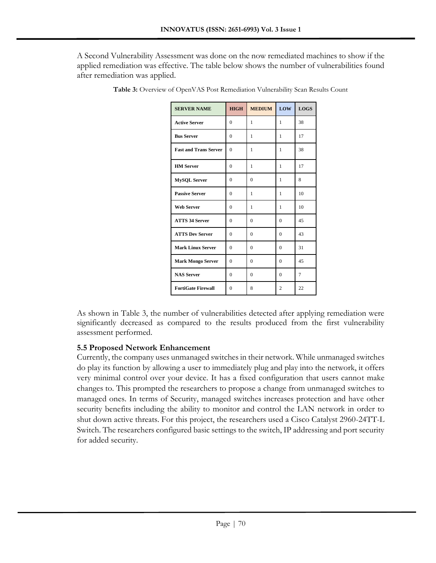A Second Vulnerability Assessment was done on the now remediated machines to show if the applied remediation was effective. The table below shows the number of vulnerabilities found after remediation was applied.

| <b>SERVER NAME</b>           | <b>HIGH</b>    | <b>MEDIUM</b> | LOW            | <b>LOGS</b> |
|------------------------------|----------------|---------------|----------------|-------------|
| <b>Active Server</b>         | $\Omega$       | 1             | 1              | 38          |
| <b>Bus Server</b>            | $\Omega$       | 1             | 1              | 17          |
| <b>Fast and Trans Server</b> | $\theta$       | 1             | 1              | 38          |
| <b>HM</b> Server             | $\theta$       | 1             | 1              | 17          |
| <b>MySQL Server</b>          | $\Omega$       | $\theta$      | 1              | 8           |
| <b>Passive Server</b>        | $\theta$       | 1             | 1              | 10          |
| <b>Web Server</b>            | $\overline{0}$ | 1             | 1              | 10          |
| <b>ATTS 34 Server</b>        | $\theta$       | $\theta$      | $\theta$       | 45          |
| <b>ATTS Dev Server</b>       | $\theta$       | $\Omega$      | $\Omega$       | 43          |
| <b>Mark Linux Server</b>     | $\theta$       | $\theta$      | $\theta$       | 31          |
| <b>Mark Mongo Server</b>     | $\theta$       | $\theta$      | $\Omega$       | 45          |
| <b>NAS Server</b>            | $\theta$       | $\theta$      | $\theta$       | 7           |
| <b>FortiGate Firewall</b>    | $\Omega$       | 8             | $\overline{c}$ | 22          |

**Table 3:** Overview of OpenVAS Post Remediation Vulnerability Scan Results Count

As shown in Table 3, the number of vulnerabilities detected after applying remediation were significantly decreased as compared to the results produced from the first vulnerability assessment performed.

# **5.5 Proposed Network Enhancement**

Currently, the company uses unmanaged switches in their network. While unmanaged switches do play its function by allowing a user to immediately plug and play into the network, it offers very minimal control over your device. It has a fixed configuration that users cannot make changes to. This prompted the researchers to propose a change from unmanaged switches to managed ones. In terms of Security, managed switches increases protection and have other security benefits including the ability to monitor and control the LAN network in order to shut down active threats. For this project, the researchers used a Cisco Catalyst 2960-24TT-L Switch. The researchers configured basic settings to the switch, IP addressing and port security for added security.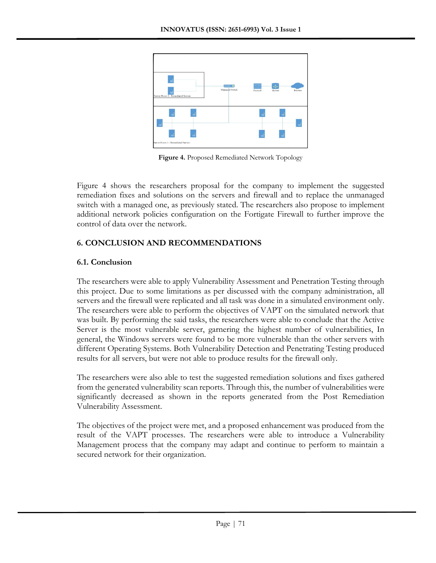

**Figure 4.** Proposed Remediated Network Topology

Figure 4 shows the researchers proposal for the company to implement the suggested remediation fixes and solutions on the servers and firewall and to replace the unmanaged switch with a managed one, as previously stated. The researchers also propose to implement additional network policies configuration on the Fortigate Firewall to further improve the control of data over the network.

# **6. CONCLUSION AND RECOMMENDATIONS**

# **6.1. Conclusion**

The researchers were able to apply Vulnerability Assessment and Penetration Testing through this project. Due to some limitations as per discussed with the company administration, all servers and the firewall were replicated and all task was done in a simulated environment only. The researchers were able to perform the objectives of VAPT on the simulated network that was built. By performing the said tasks, the researchers were able to conclude that the Active Server is the most vulnerable server, garnering the highest number of vulnerabilities, In general, the Windows servers were found to be more vulnerable than the other servers with different Operating Systems. Both Vulnerability Detection and Penetrating Testing produced results for all servers, but were not able to produce results for the firewall only.

The researchers were also able to test the suggested remediation solutions and fixes gathered from the generated vulnerability scan reports. Through this, the number of vulnerabilities were significantly decreased as shown in the reports generated from the Post Remediation Vulnerability Assessment.

The objectives of the project were met, and a proposed enhancement was produced from the result of the VAPT processes. The researchers were able to introduce a Vulnerability Management process that the company may adapt and continue to perform to maintain a secured network for their organization.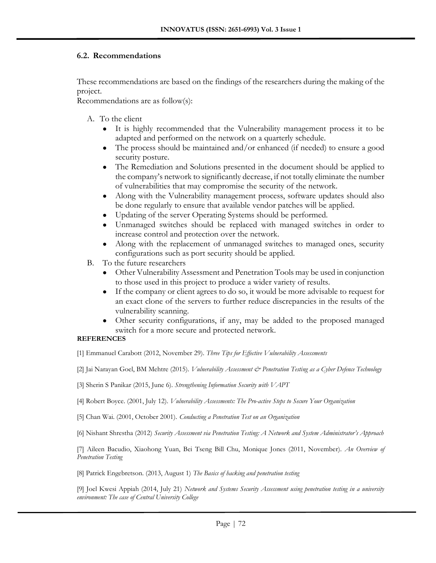### **6.2. Recommendations**

These recommendations are based on the findings of the researchers during the making of the project.

Recommendations are as follow(s):

- A. To the client
	- It is highly recommended that the Vulnerability management process it to be adapted and performed on the network on a quarterly schedule.
	- The process should be maintained and/or enhanced (if needed) to ensure a good security posture.
	- The Remediation and Solutions presented in the document should be applied to the company's network to significantly decrease, if not totally eliminate the number of vulnerabilities that may compromise the security of the network.
	- Along with the Vulnerability management process, software updates should also be done regularly to ensure that available vendor patches will be applied.
	- Updating of the server Operating Systems should be performed.
	- Unmanaged switches should be replaced with managed switches in order to increase control and protection over the network.
	- Along with the replacement of unmanaged switches to managed ones, security configurations such as port security should be applied.
- B. To the future researchers
	- Other Vulnerability Assessment and Penetration Tools may be used in conjunction to those used in this project to produce a wider variety of results.
	- If the company or client agrees to do so, it would be more advisable to request for an exact clone of the servers to further reduce discrepancies in the results of the vulnerability scanning.
	- Other security configurations, if any, may be added to the proposed managed switch for a more secure and protected network.

#### **REFERENCES**

[1] Emmanuel Carabott (2012, November 29). *Three Tips for Effective Vulnerability Assessments*

[2] Jai Narayan Goel, BM Mehtre (2015). *Vulnerability Assessment & Penetration Testing as a Cyber Defence Technology* 

[3] Sherin S Panikar (2015, June 6). *Strengthening Information Security with VAPT*

[4] Robert Boyce. (2001, July 12). *Vulnerability Assessments: The Pro-active Steps to Secure Your Organization*

[5] Chan Wai. (2001, October 2001). *Conducting a Penetration Test on an Organization*

[6] Nishant Shrestha (2012) *Security Assessment via Penetration Testing: A Network and System Administrator's Approach*

[7] Aileen Bacudio, Xiaohong Yuan, Bei Tseng Bill Chu, Monique Jones (2011, November). *An Overview of Penetration Testing*

[8] Patrick Engebretson. (2013, August 1) *The Basics of hacking and penetration testing*

[9] Joel Kwesi Appiah (2014, July 21) *Network and Systems Security Assessment using penetration testing in a university environment: The case of Central University College*